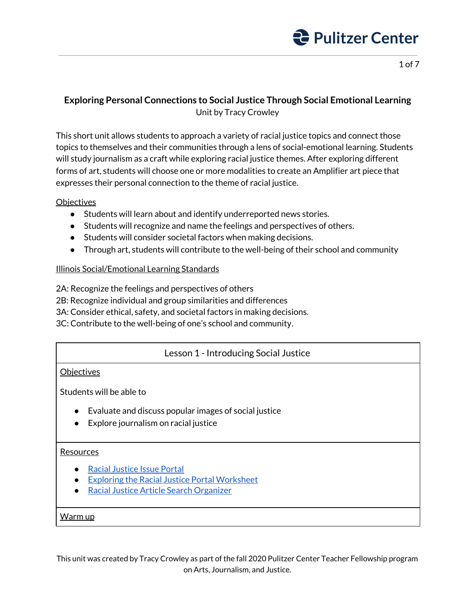

1 of 7

## **Exploring Personal Connections to Social Justice Through Social Emotional Learning** Unit by Tracy Crowley

This short unit allows students to approach a variety of racial justice topics and connect those topics to themselves and their communities through a lens of social-emotional learning. Students will study journalism as a craft while exploring racial justice themes. After exploring different forms of art, students will choose one or more modalities to create an Amplifier art piece that expresses their personal connection to the theme of racial justice.

### **Objectives**

- Students will learn about and identify underreported news stories.
- Students will recognize and name the feelings and perspectives of others.
- Students will consider societal factors when making decisions.
- Through art, students will contribute to the well-being of their school and community

## Illinois Social/Emotional Learning Standards

2A: Recognize the feelings and perspectives of others

2B: Recognize individual and group similarities and differences

3A: Consider ethical, safety, and societal factors in making decisions.

3C: Contribute to the well-being of one's school and community.

## Lesson 1 - Introducing Social Justice

### **Objectives**

Students will be able to

- Evaluate and discuss popular images of social justice
- Explore journalism on racial justice

#### Resources

- Racial [Justice](https://pulitzercenter.org/racial-justice) Issue Portal
- Exploring the Racial Justice Portal [Worksheet](http://pulitzercenter.org/sites/default/files/exploring_the_racial_justice_portal_worksheet.pdf)
- Racial Justice Article Search [Organizer](http://pulitzercenter.org/sites/default/files/racial_justice_article_search_organizer.pdf)

#### Warm up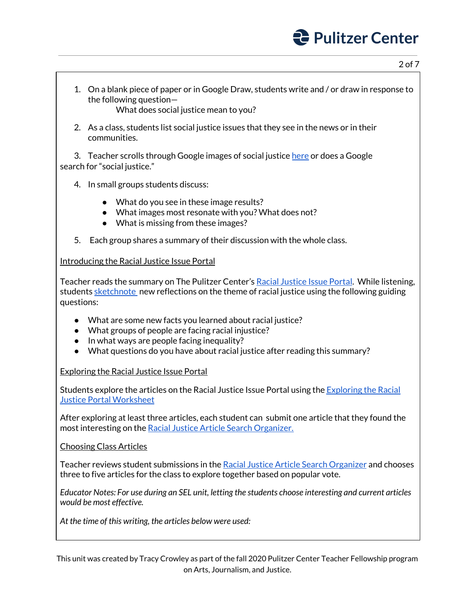2 of 7

- 1. On a blank piece of paper or in Google Draw, students write and / or draw in response to the following question— What does social justice mean to you?
- 2. As a class, students list social justice issues that they see in the news or in their communities.

3. Teacher scrolls through Google images of social justice [here](https://www.google.com/search?q=social+justice&tbm=isch&ved=2ahUKEwjpl4H7kcLsAhVF-KwKHSyXASEQ2-cCegQIABAA&oq=social+justice&gs_lcp=CgNpbWcQAzIHCAAQsQMQQzIHCAAQsQMQQzICCAAyBQgAELEDMgQIABBDMgIIADIECAAQQzIECAAQQzICCAAyAggAULiVAVirjglg_o4JaABwAHgAgAFKiAGoBpIBAjE0mAEAoAEBqgELZ3dzLXdpei1pbWewAQDAAQE&sclient=img&ei=lk2OX-n0CMXwswWsroaIAg&bih=1009&biw=1772&hl=EN) or does a Google search for "social justice."

- 4. In small groups students discuss:
	- What do you see in these image results?
	- What images most resonate with you? What does not?
	- What is missing from these images?
- 5. Each group shares a summary of their discussion with the whole class.

#### Introducing the Racial Justice Issue Portal

Teacher reads the summary on The Pulitzer Center's Racial [Justice](https://pulitzercenter.org/racial-justice) Issue Portal. While listening, students [sketchnote](https://www.edtechteam.com/blog/2018/08/eduslam-how-to-sketchnote/) new reflections on the theme of racial justice using the following guiding questions:

- What are some new facts you learned about racial justice?
- What groups of people are facing racial injustice?
- In what ways are people facing inequality?
- What questions do you have about racial justice after reading this summary?

#### Exploring the Racial Justice Issue Portal

Students explore the articles on the Racial Justice Issue Portal using the [Exploring](http://pulitzercenter.org/sites/default/files/exploring_the_racial_justice_portal_worksheet.pdf) the Racial Justice Portal [Worksheet](http://pulitzercenter.org/sites/default/files/exploring_the_racial_justice_portal_worksheet.pdf)

After exploring at least three articles, each student can submit one article that they found the most interesting on the Racial Justice Article Search [Organizer.](http://pulitzercenter.org/sites/default/files/racial_justice_article_search_organizer.pdf)

Choosing Class Articles

Teacher reviews student submissions in the Racial Justice Article Search [Organizer](http://pulitzercenter.org/sites/default/files/racial_justice_article_search_organizer.pdf) and chooses three to five articles for the class to explore together based on popular vote.

*Educator Notes: For use during an SEL unit, letting the students choose interesting and current articles would be most effective.*

*At the time of this writing, the articles below were used:*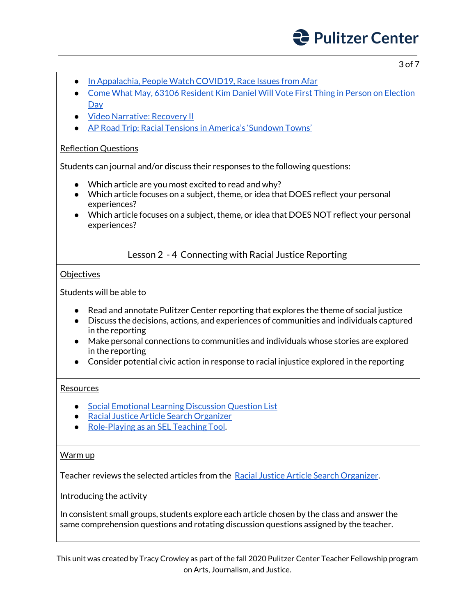3 of 7

- **In [Appalachia,](https://pulitzercenter.org/reporting/appalachia-people-watch-covid-19-race-issues-afar#slideshow-6) People Watch COVID19, Race Issues from Afar**
- Come What May, 63106 [Resident](https://pulitzercenter.org/reporting/come-what-may-63106-resident-kim-daniel-will-vote-first-thing-person-election-day) Kim Daniel Will Vote First Thing in Person on Election **[Day](https://pulitzercenter.org/reporting/come-what-may-63106-resident-kim-daniel-will-vote-first-thing-person-election-day)**
- Video [Narrative:](https://pulitzercenter.org/reporting/video-narrative-recovery-ii) Recovery II
- AP Road Trip: Racial Tensions in [America's](https://pulitzercenter.org/reporting/ap-road-trip-racial-tensions-americas-sundown-towns) 'Sundown Towns'

## Reflection Questions

Students can journal and/or discuss their responses to the following questions:

- Which article are you most excited to read and why?
- Which article focuses on a subject, theme, or idea that DOES reflect your personal experiences?
- Which article focuses on a subject, theme, or idea that DOES NOT reflect your personal experiences?

Lesson 2 - 4 Connecting with Racial Justice Reporting

**Objectives** 

Students will be able to

- Read and annotate Pulitzer Center reporting that explores the theme of social justice
- Discuss the decisions, actions, and experiences of communities and individuals captured in the reporting
- Make personal connections to communities and individuals whose stories are explored in the reporting
- Consider potential civic action in response to racial injustice explored in the reporting

### Resources

- Social Emotional Learning [Discussion](http://pulitzercenter.org/sites/default/files/social_emotional_learning_question_list_0.pdf) Question List
- Racial Justice Article Search [Organizer](http://pulitzercenter.org/sites/default/files/racial_justice_article_search_organizer.pdf)
- [Role-Playing](https://www.edutopia.org/blog/role-play-sel-teaching-tool-kristin-stuart-valdes) as an SEL Teaching Tool.

### Warm up

Teacher reviews the selected articles from the Racial Justice Article Search [Organizer.](http://pulitzercenter.org/sites/default/files/racial_justice_article_search_organizer.pdf)

Introducing the activity

In consistent small groups, students explore each article chosen by the class and answer the same comprehension questions and rotating discussion questions assigned by the teacher.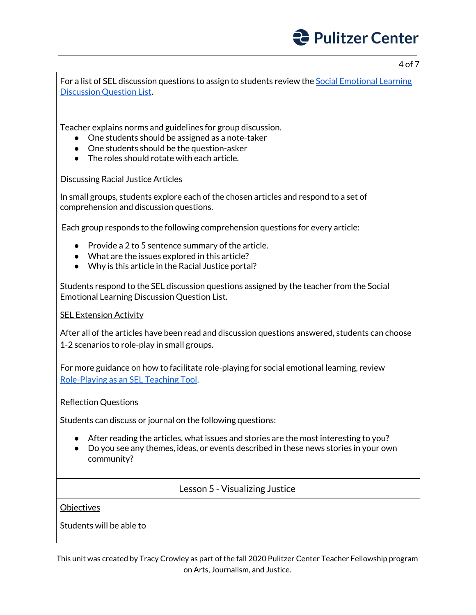4 of 7

For a list of SEL discussion questions to assign to students review the Social [Emotional](http://pulitzercenter.org/sites/default/files/social_emotional_learning_question_list_0.pdf) Learning [Discussion](http://pulitzercenter.org/sites/default/files/social_emotional_learning_question_list_0.pdf) Question List.

Teacher explains norms and guidelines for group discussion.

- One students should be assigned as a note-taker
- One students should be the question-asker
- $\bullet$  The roles should rotate with each article.

### Discussing Racial Justice Articles

In small groups, students explore each of the chosen articles and respond to a set of comprehension and discussion questions.

Each group responds to the following comprehension questions for every article:

- Provide a 2 to 5 sentence summary of the article.
- What are the issues explored in this article?
- Why is this article in the Racial Justice portal?

Students respond to the SEL discussion questions assigned by the teacher from the Social Emotional Learning Discussion Question List.

#### SEL Extension Activity

After all of the articles have been read and discussion questions answered, students can choose 1-2 scenarios to role-play in small groups.

For more guidance on how to facilitate role-playing for social emotional learning, review [Role-Playing](https://www.edutopia.org/blog/role-play-sel-teaching-tool-kristin-stuart-valdes) as an SEL Teaching Tool.

#### Reflection Questions

Students can discuss or journal on the following questions:

- After reading the articles, what issues and stories are the most interesting to you?
- Do you see any themes, ideas, or events described in these news stories in your own community?

Lesson 5 - Visualizing Justice

#### **Objectives**

Students will be able to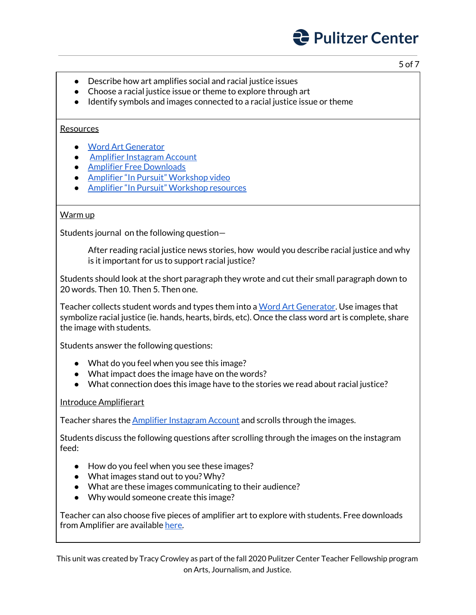- Describe how art amplifies social and racial justice issues
- Choose a racial justice issue or theme to explore through art
- Identify symbols and images connected to a racial justice issue or theme

#### Resources

- Word Art [Generator](https://wordart.com/)
- Amplifier [Instagram](https://www.instagram.com/amplifierart/) Account
- Amplifier Free [Downloads](https://amplifier.org/free-downloads/)
- Amplifier "In Pursuit" [Workshop](https://community.amplifier.org/campaign/in-pursuit-of/) video
- Amplifier "In Pursuit" [Workshop](https://community.amplifier.org/campaign/in-pursuit-of/) resources

#### Warm up

Students journal on the following question—

After reading racial justice news stories, how would you describe racial justice and why is it important for us to support racial justice?

Students should look at the short paragraph they wrote and cut their small paragraph down to 20 words. Then 10. Then 5. Then one.

Teacher collects student words and types them into a Word Art [Generator](https://wordart.com/). Use images that symbolize racial justice (ie. hands, hearts, birds, etc). Once the class word art is complete, share the image with students.

Students answer the following questions:

- What do you feel when you see this image?
- What impact does the image have on the words?
- What connection does this image have to the stories we read about racial justice?

#### Introduce Amplifierart

Teacher shares the Amplifier [Instagram](https://www.instagram.com/amplifierart/) Account and scrolls through the images.

Students discuss the following questions after scrolling through the images on the instagram feed:

- How do you feel when you see these images?
- What images stand out to you? Why?
- What are these images communicating to their audience?
- Why would someone create this image?

Teacher can also choose five pieces of amplifier art to explore with students. Free downloads from Amplifier are available [here.](https://amplifier.org/free-downloads/)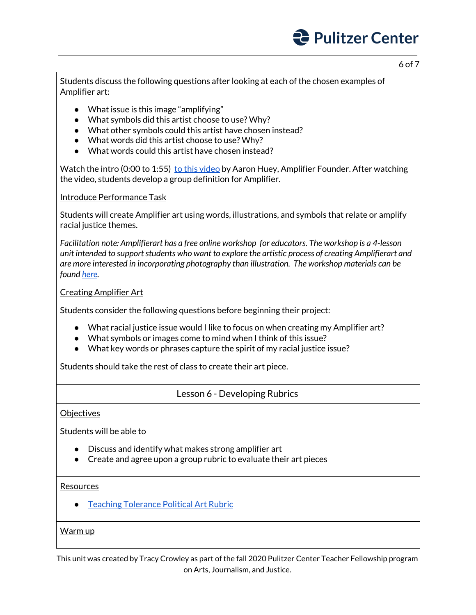6 of 7

Students discuss the following questions after looking at each of the chosen examples of Amplifier art:

- What issue is this image "amplifying"
- What symbols did this artist choose to use? Why?
- What other symbols could this artist have chosen instead?
- What words did this artist choose to use? Why?
- What words could this artist have chosen instead?

Watch the intro (0:00 to 1:55) to this [video](https://community.amplifier.org/campaign/in-pursuit-of/) by Aaron Huey, Amplifier Founder. After watching the video, students develop a group definition for Amplifier.

Introduce Performance Task

Students will create Amplifier art using words, illustrations, and symbols that relate or amplify racial justice themes.

*Facilitation note: Amplifierart has a free online workshop for educators. The workshop is a 4-lesson unit intended to supportstudents who want to explore the artistic process of creating Amplifierart and are more interested in incorporating photography than illustration. The workshop materials can be found [here](https://community.amplifier.org/campaign/in-pursuit-of/).*

### Creating Amplifier Art

Students consider the following questions before beginning their project:

- What racial justice issue would I like to focus on when creating my Amplifier art?
- What symbols or images come to mind when I think of this issue?
- What key words or phrases capture the spirit of my racial justice issue?

Students should take the rest of class to create their art piece.

## Lesson 6 - Developing Rubrics

#### **Objectives**

Students will be able to

- Discuss and identify what makes strong amplifier art
- Create and agree upon a group rubric to evaluate their art pieces

#### Resources

● Teaching [Tolerance](https://www.tolerance.org/sites/default/files/2017-07/6-12DS_Consuming%20%26%20Creating%20Politcal%20Art%20Rubric.pdf) Political Art Rubric

#### Warm up